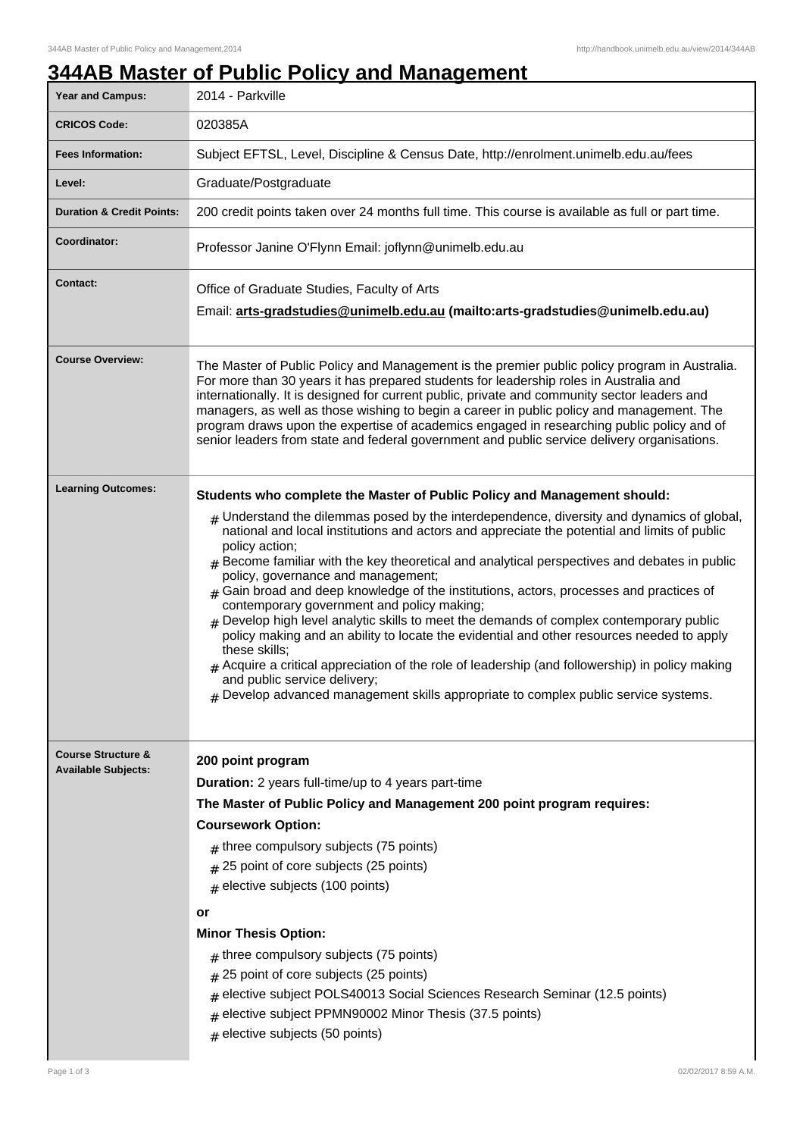# **344AB Master of Public Policy and Management**

| Year and Campus:                                            | <u> THAD MASICI OF FUNIC FUILLY AND MANAGEMENT</u><br>2014 - Parkville                                                                                                                                                                                                                                                                                                                                                                                                                                                                                                                                                                                                                                                                                                                                                                                                                                                                                                                                                      |
|-------------------------------------------------------------|-----------------------------------------------------------------------------------------------------------------------------------------------------------------------------------------------------------------------------------------------------------------------------------------------------------------------------------------------------------------------------------------------------------------------------------------------------------------------------------------------------------------------------------------------------------------------------------------------------------------------------------------------------------------------------------------------------------------------------------------------------------------------------------------------------------------------------------------------------------------------------------------------------------------------------------------------------------------------------------------------------------------------------|
| <b>CRICOS Code:</b>                                         | 020385A                                                                                                                                                                                                                                                                                                                                                                                                                                                                                                                                                                                                                                                                                                                                                                                                                                                                                                                                                                                                                     |
|                                                             |                                                                                                                                                                                                                                                                                                                                                                                                                                                                                                                                                                                                                                                                                                                                                                                                                                                                                                                                                                                                                             |
| <b>Fees Information:</b>                                    | Subject EFTSL, Level, Discipline & Census Date, http://enrolment.unimelb.edu.au/fees                                                                                                                                                                                                                                                                                                                                                                                                                                                                                                                                                                                                                                                                                                                                                                                                                                                                                                                                        |
| Level:                                                      | Graduate/Postgraduate                                                                                                                                                                                                                                                                                                                                                                                                                                                                                                                                                                                                                                                                                                                                                                                                                                                                                                                                                                                                       |
| <b>Duration &amp; Credit Points:</b>                        | 200 credit points taken over 24 months full time. This course is available as full or part time.                                                                                                                                                                                                                                                                                                                                                                                                                                                                                                                                                                                                                                                                                                                                                                                                                                                                                                                            |
| Coordinator:                                                | Professor Janine O'Flynn Email: joflynn@unimelb.edu.au                                                                                                                                                                                                                                                                                                                                                                                                                                                                                                                                                                                                                                                                                                                                                                                                                                                                                                                                                                      |
| <b>Contact:</b>                                             | Office of Graduate Studies, Faculty of Arts<br>Email: arts-gradstudies@unimelb.edu.au (mailto: arts-gradstudies@unimelb.edu.au)                                                                                                                                                                                                                                                                                                                                                                                                                                                                                                                                                                                                                                                                                                                                                                                                                                                                                             |
| <b>Course Overview:</b>                                     | The Master of Public Policy and Management is the premier public policy program in Australia.<br>For more than 30 years it has prepared students for leadership roles in Australia and<br>internationally. It is designed for current public, private and community sector leaders and<br>managers, as well as those wishing to begin a career in public policy and management. The<br>program draws upon the expertise of academics engaged in researching public policy and of<br>senior leaders from state and federal government and public service delivery organisations.                                                                                                                                                                                                                                                                                                                                                                                                                                             |
| <b>Learning Outcomes:</b>                                   | Students who complete the Master of Public Policy and Management should:<br>$_{\rm H}$ Understand the dilemmas posed by the interdependence, diversity and dynamics of global,<br>national and local institutions and actors and appreciate the potential and limits of public<br>policy action;<br>Become familiar with the key theoretical and analytical perspectives and debates in public<br>policy, governance and management;<br>$#$ Gain broad and deep knowledge of the institutions, actors, processes and practices of<br>contemporary government and policy making;<br>$_{\rm #}$ Develop high level analytic skills to meet the demands of complex contemporary public<br>policy making and an ability to locate the evidential and other resources needed to apply<br>these skills;<br>Acquire a critical appreciation of the role of leadership (and followership) in policy making<br>and public service delivery;<br>$*$ Develop advanced management skills appropriate to complex public service systems. |
| <b>Course Structure &amp;</b><br><b>Available Subjects:</b> | 200 point program<br><b>Duration:</b> 2 years full-time/up to 4 years part-time<br>The Master of Public Policy and Management 200 point program requires:<br><b>Coursework Option:</b><br>$#$ three compulsory subjects (75 points)<br>$#$ 25 point of core subjects (25 points)<br>$#$ elective subjects (100 points)<br>or<br><b>Minor Thesis Option:</b><br>$#$ three compulsory subjects (75 points)<br>25 point of core subjects (25 points)<br>elective subject POLS40013 Social Sciences Research Seminar (12.5 points)<br>#<br>elective subject PPMN90002 Minor Thesis (37.5 points)<br>$#$ elective subjects (50 points)                                                                                                                                                                                                                                                                                                                                                                                           |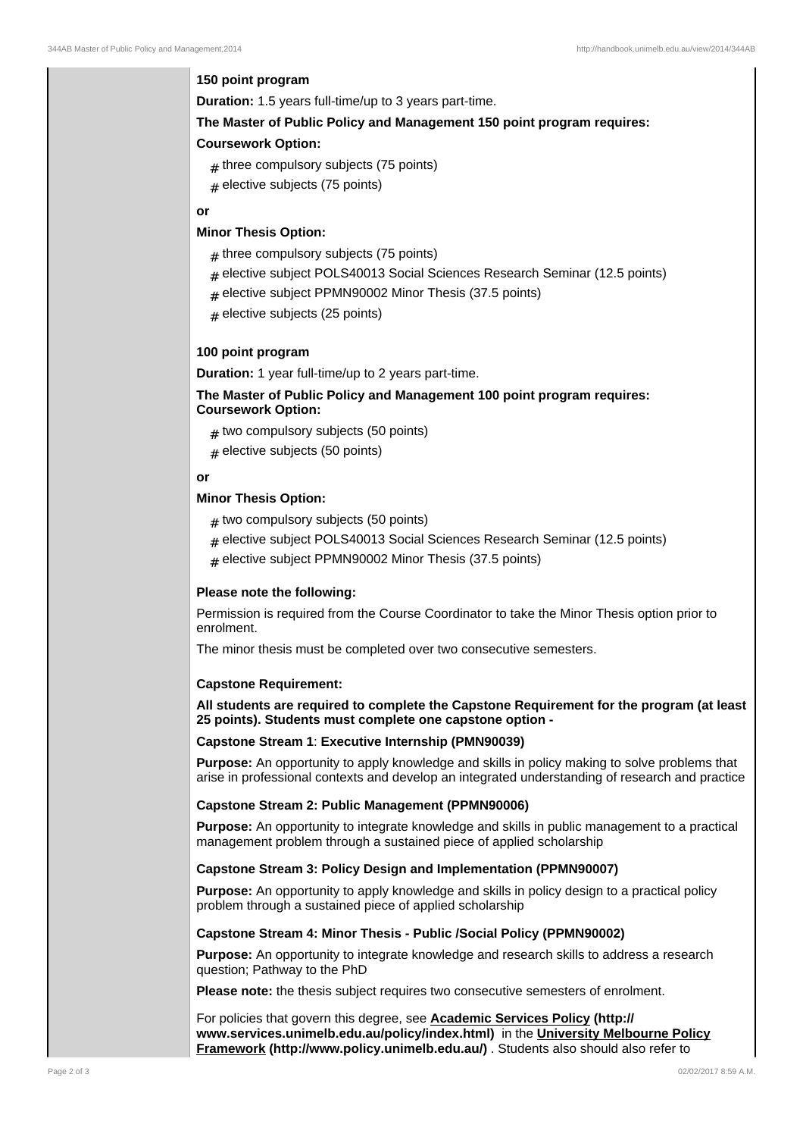# **150 point program**

**Duration:** 1.5 years full-time/up to 3 years part-time.

## **The Master of Public Policy and Management 150 point program requires:**

# **Coursework Option:**

- $_{\#}$  three compulsory subjects (75 points)
- $_{\#}$  elective subjects (75 points)

# **or**

# **Minor Thesis Option:**

- $_{\#}$  three compulsory subjects (75 points)
- $_{\rm \#}$  elective subject POLS40013 Social Sciences Research Seminar (12.5 points)
- $_{\rm \#}$  elective subject PPMN90002 Minor Thesis (37.5 points)
- ${}_{\#}$  elective subjects (25 points)

# **100 point program**

**Duration:** 1 year full-time/up to 2 years part-time.

# **The Master of Public Policy and Management 100 point program requires: Coursework Option:**

- ${}_{\#}$  two compulsory subjects (50 points)
- ${}_{\#}$  elective subjects (50 points)

# **or**

## **Minor Thesis Option:**

- ${}_{\#}$  two compulsory subjects (50 points)
- $_{\rm \#}$  elective subject POLS40013 Social Sciences Research Seminar (12.5 points)
- $_{\rm \#}$  elective subject PPMN90002 Minor Thesis (37.5 points)

## **Please note the following:**

Permission is required from the Course Coordinator to take the Minor Thesis option prior to enrolment.

The minor thesis must be completed over two consecutive semesters.

## **Capstone Requirement:**

**All students are required to complete the Capstone Requirement for the program (at least 25 points). Students must complete one capstone option -**

## **Capstone Stream 1**: **Executive Internship (PMN90039)**

**Purpose:** An opportunity to apply knowledge and skills in policy making to solve problems that arise in professional contexts and develop an integrated understanding of research and practice

## **Capstone Stream 2: Public Management (PPMN90006)**

**Purpose:** An opportunity to integrate knowledge and skills in public management to a practical management problem through a sustained piece of applied scholarship

## **Capstone Stream 3: Policy Design and Implementation (PPMN90007)**

**Purpose:** An opportunity to apply knowledge and skills in policy design to a practical policy problem through a sustained piece of applied scholarship

## **Capstone Stream 4: Minor Thesis - Public /Social Policy (PPMN90002)**

**Purpose:** An opportunity to integrate knowledge and research skills to address a research question; Pathway to the PhD

**Please note:** the thesis subject requires two consecutive semesters of enrolment.

For policies that govern this degree, see **Academic Services Policy (http:// www.services.unimelb.edu.au/policy/index.html)** in the **University Melbourne Policy Framework (http://www.policy.unimelb.edu.au/)** . Students also should also refer to